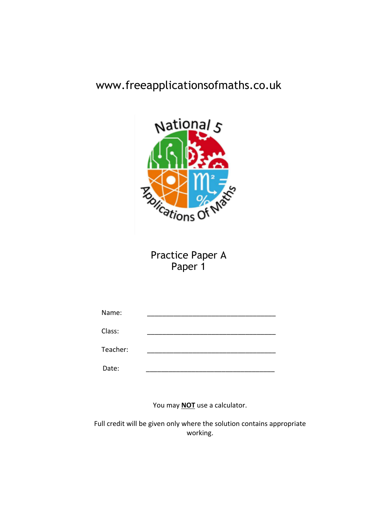# www.freeapplicationsofmaths.co.uk



Practice Paper A Paper 1

| Name:    |  |
|----------|--|
| Class:   |  |
| Teacher: |  |
| Date:    |  |

You may **NOT** use a calculator.

Full credit will be given only where the solution contains appropriate working.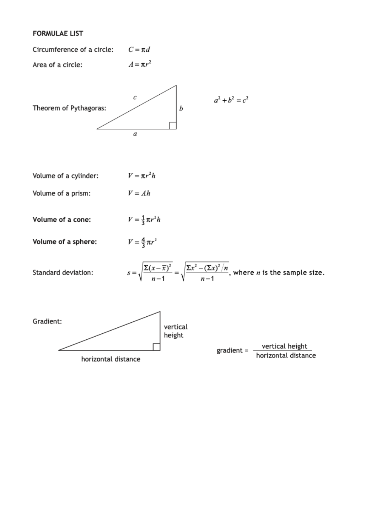## **FORMULAE LIST**

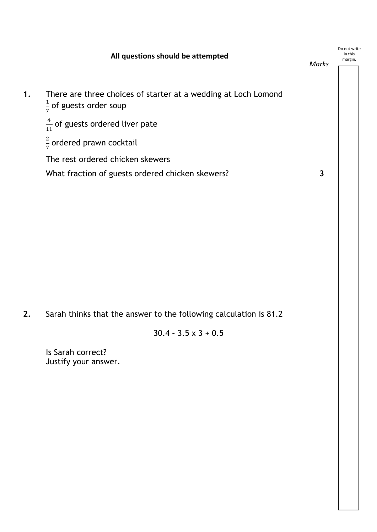| All questions should be attempted                                                                    | Marks | Do not write<br>in this<br>margin. |
|------------------------------------------------------------------------------------------------------|-------|------------------------------------|
| There are three choices of starter at a wedding at Loch Lomond<br>$\frac{1}{7}$ of guests order soup |       |                                    |
| $\frac{4}{11}$ of guests ordered liver pate                                                          |       |                                    |
| $\frac{2}{7}$ ordered prawn cocktail                                                                 |       |                                    |
| The rest ordered chicken skewers                                                                     |       |                                    |
| What fraction of guests ordered chicken skewers?                                                     | 3     |                                    |
|                                                                                                      |       |                                    |

**2.** Sarah thinks that the answer to the following calculation is 81.2

$$
30.4 - 3.5 \times 3 + 0.5
$$

Justify your answer. Is Sarah correct?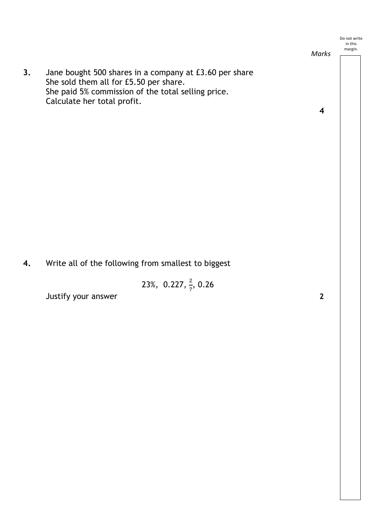*Marks*

**3.** Jane bought 500 shares in a company at £3.60 per share She sold them all for £5.50 per share. She paid 5% commission of the total selling price. Calculate her total profit.

**4**

**4.** Write all of the following from smallest to biggest

23%, 0.227,  $\frac{2}{7}$ , 0.26

Justify your answer **2**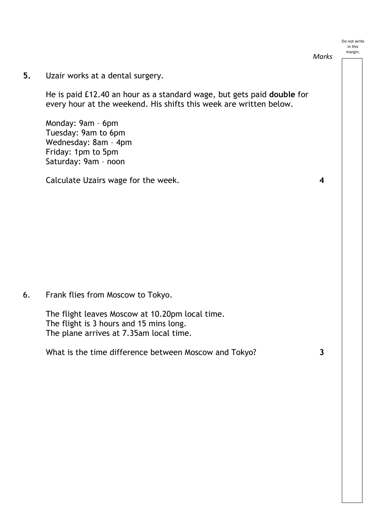*Marks*

**5.** Uzair works at a dental surgery.

He is paid £12.40 an hour as a standard wage, but gets paid **double** for every hour at the weekend. His shifts this week are written below.

Monday: 9am – 6pm Tuesday: 9am to 6pm Wednesday: 8am – 4pm Friday: 1pm to 5pm Saturday: 9am – noon

Calculate Uzairs wage for the week. **4**

6. Frank flies from Moscow to Tokyo.

The flight leaves Moscow at 10.20pm local time. The flight is 3 hours and 15 mins long. The plane arrives at 7.35am local time.

What is the time difference between Moscow and Tokyo? **3**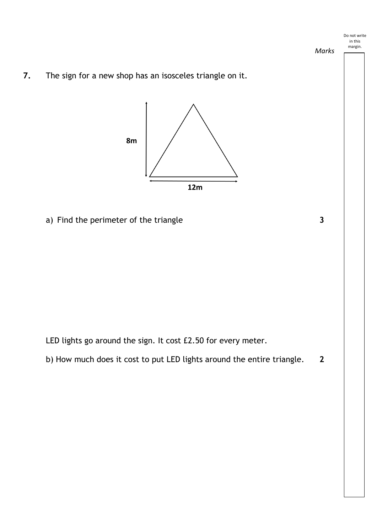

*Marks*

**7.** The sign for a new shop has an isosceles triangle on it.



a) Find the perimeter of the triangle **3** 

LED lights go around the sign. It cost £2.50 for every meter.

b) How much does it cost to put LED lights around the entire triangle. **2**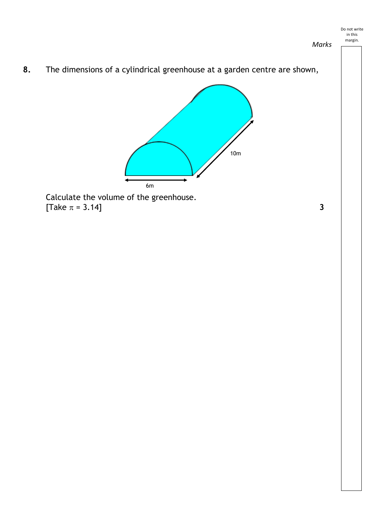*Marks*

**8.** The dimensions of a cylindrical greenhouse at a garden centre are shown,



 $\begin{bmatrix} \text{Take } \pi = 3.14 \end{bmatrix}$  3 Calculate the volume of the greenhouse.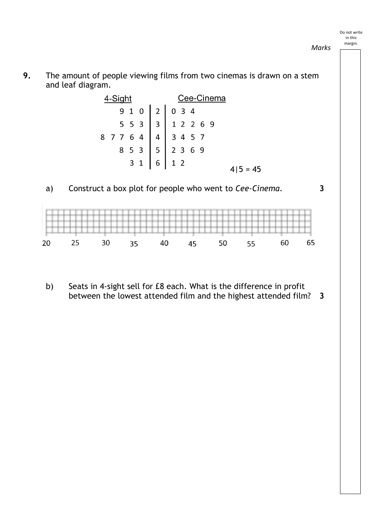*Marks*



| 4-Siaht |  |  |  | Cee-Cinema |                                                                                                                                                                                                                            |            |  |
|---------|--|--|--|------------|----------------------------------------------------------------------------------------------------------------------------------------------------------------------------------------------------------------------------|------------|--|
|         |  |  |  |            |                                                                                                                                                                                                                            |            |  |
|         |  |  |  |            |                                                                                                                                                                                                                            |            |  |
|         |  |  |  |            |                                                                                                                                                                                                                            |            |  |
|         |  |  |  |            |                                                                                                                                                                                                                            |            |  |
|         |  |  |  |            | $\begin{array}{r rrrrrrr} & 9 & 1 & 0 & 2 & 0 & 3 & 4 \\ & & 5 & 5 & 3 & 3 & 1 & 2 & 2 & 6 & 9 \\ & 8 & 7 & 7 & 6 & 4 & 4 & 3 & 4 & 5 & 7 \\ & & 8 & 5 & 3 & 5 & 2 & 3 & 6 & 9 \\ & & & 3 & 1 & 6 & 1 & 2 & & \end{array}$ | $4 5 = 45$ |  |



b) Seats in 4-sight sell for £8 each. What is the difference in profit between the lowest attended film and the highest attended film? **3**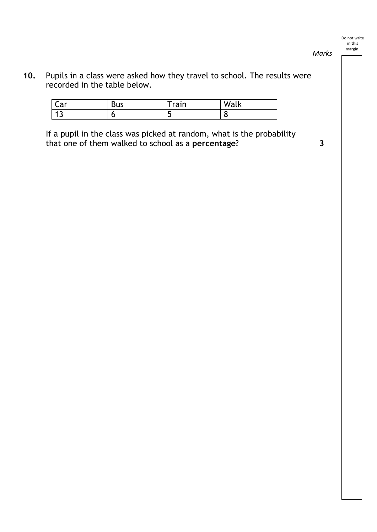- *Marks*
- **10.** Pupils in a class were asked how they travel to school. The results were recorded in the table below.

| $\sim$ $\sim$<br>∟aı | <b>Bus</b> | rain     | <b>A</b> 4 <i>B</i><br>. .<br>Wal<br>ιn |
|----------------------|------------|----------|-----------------------------------------|
| پ                    | u          | . .<br>٠ | ∼                                       |

If a pupil in the class was picked at random, what is the probability that one of them walked to school as a **percentage**? **3**